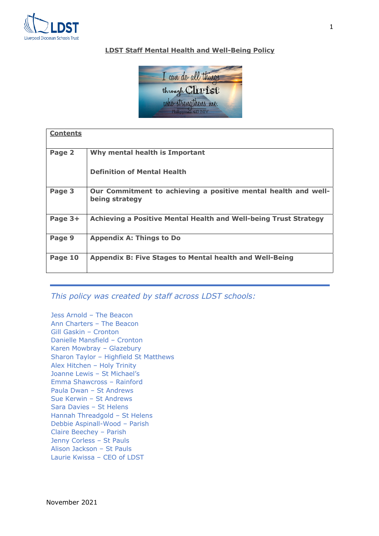

# **LDST Staff Mental Health and Well-Being Policy**



| <b>Contents</b> |                                                                                  |
|-----------------|----------------------------------------------------------------------------------|
| Page 2          | Why mental health is Important                                                   |
|                 | <b>Definition of Mental Health</b>                                               |
| Page 3          | Our Commitment to achieving a positive mental health and well-<br>being strategy |
| Page 3+         | Achieving a Positive Mental Health and Well-being Trust Strategy                 |
| Page 9          | <b>Appendix A: Things to Do</b>                                                  |
| Page 10         | <b>Appendix B: Five Stages to Mental health and Well-Being</b>                   |

*This policy was created by staff across LDST schools:*

Jess Arnold – The Beacon Ann Charters – The Beacon Gill Gaskin – Cronton Danielle Mansfield – Cronton Karen Mowbray – Glazebury Sharon Taylor – Highfield St Matthews Alex Hitchen – Holy Trinity Joanne Lewis – St Michael's Emma Shawcross – Rainford Paula Dwan – St Andrews Sue Kerwin – St Andrews Sara Davies – St Helens Hannah Threadgold – St Helens Debbie Aspinall-Wood – Parish Claire Beechey – Parish Jenny Corless – St Pauls Alison Jackson – St Pauls Laurie Kwissa – CEO of LDST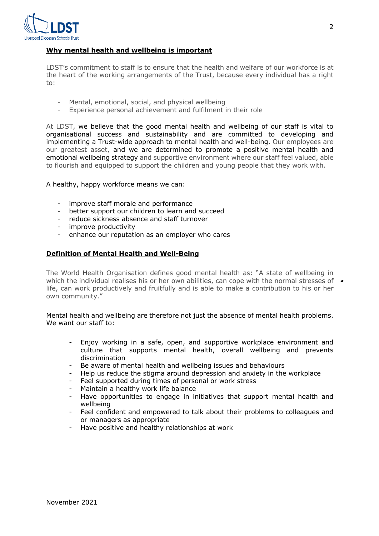

# **Why mental health and wellbeing is important**

LDST's commitment to staff is to ensure that the health and welfare of our workforce is at the heart of the working arrangements of the Trust, because every individual has a right to:

- Mental, emotional, social, and physical wellbeing
- Experience personal achievement and fulfilment in their role

At LDST, we believe that the good mental health and wellbeing of our staff is vital to organisational success and sustainability and are committed to developing and implementing a Trust-wide approach to mental health and well-being. Our employees are our greatest asset, and we are determined to promote a positive mental health and emotional wellbeing strategy and supportive environment where our staff feel valued, able to flourish and equipped to support the children and young people that they work with.

A healthy, happy workforce means we can:

- improve staff morale and performance
- better support our children to learn and succeed
- reduce sickness absence and staff turnover
- improve productivity
- enhance our reputation as an employer who cares

## **Definition of Mental Health and Well-Being**

The World Health Organisation defines good mental health as: "A state of wellbeing in which the individual realises his or her own abilities, can cope with the normal stresses of  $\bullet$ life, can work productively and fruitfully and is able to make a contribution to his or her own community."

Mental health and wellbeing are therefore not just the absence of mental health problems. We want our staff to:

- Enjoy working in a safe, open, and supportive workplace environment and culture that supports mental health, overall wellbeing and prevents discrimination
- Be aware of mental health and wellbeing issues and behaviours
- Help us reduce the stigma around depression and anxiety in the workplace
- Feel supported during times of personal or work stress
- Maintain a healthy work life balance
- Have opportunities to engage in initiatives that support mental health and wellbeing
- Feel confident and empowered to talk about their problems to colleagues and or managers as appropriate
- Have positive and healthy relationships at work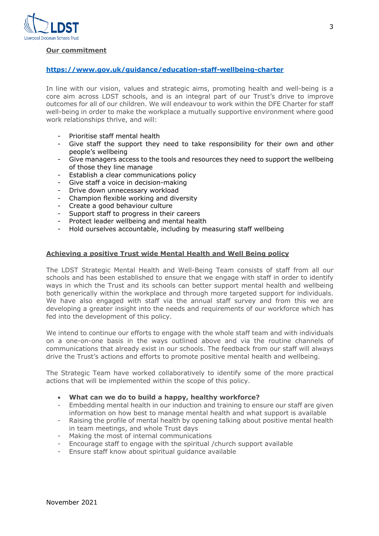

# **Our commitment**

## **https://www.gov.uk/guidance/education-staff-wellbeing-charter**

In line with our vision, values and strategic aims, promoting health and well-being is a core aim across LDST schools, and is an integral part of our Trust's drive to improve outcomes for all of our children. We will endeavour to work within the DFE Charter for staff well-being in order to make the workplace a mutually supportive environment where good work relationships thrive, and will:

- Prioritise staff mental health
- Give staff the support they need to take responsibility for their own and other people's wellbeing
- Give managers access to the tools and resources they need to support the wellbeing of those they line manage
- Establish a clear communications policy
- Give staff a voice in decision-making
- Drive down unnecessary workload
- Champion flexible working and diversity
- Create a good behaviour culture
- Support staff to progress in their careers
- Protect leader wellbeing and mental health
- Hold ourselves accountable, including by measuring staff wellbeing

## **Achieving a positive Trust wide Mental Health and Well Being policy**

The LDST Strategic Mental Health and Well-Being Team consists of staff from all our schools and has been established to ensure that we engage with staff in order to identify ways in which the Trust and its schools can better support mental health and wellbeing both generically within the workplace and through more targeted support for individuals. We have also engaged with staff via the annual staff survey and from this we are developing a greater insight into the needs and requirements of our workforce which has fed into the development of this policy.

We intend to continue our efforts to engage with the whole staff team and with individuals on a one-on-one basis in the ways outlined above and via the routine channels of communications that already exist in our schools. The feedback from our staff will always drive the Trust's actions and efforts to promote positive mental health and wellbeing.

The Strategic Team have worked collaboratively to identify some of the more practical actions that will be implemented within the scope of this policy.

#### • **What can we do to build a happy, healthy workforce?**

- Embedding mental health in our induction and training to ensure our staff are given information on how best to manage mental health and what support is available
- Raising the profile of mental health by opening talking about positive mental health in team meetings, and whole Trust days
- Making the most of internal communications
- Encourage staff to engage with the spiritual /church support available
- Ensure staff know about spiritual guidance available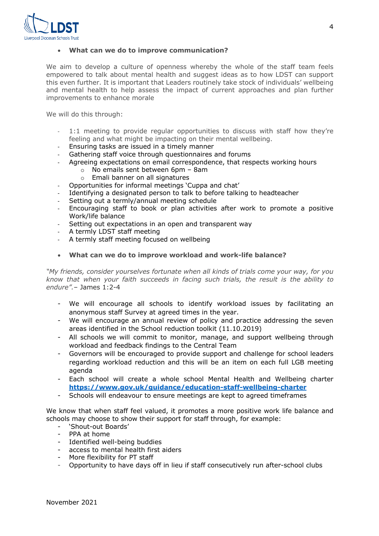

#### • **What can we do to improve communication?**

We aim to develop a culture of openness whereby the whole of the staff team feels empowered to talk about mental health and suggest ideas as to how LDST can support this even further. It is important that Leaders routinely take stock of individuals' wellbeing and mental health to help assess the impact of current approaches and plan further improvements to enhance morale

We will do this through:

- 1:1 meeting to provide regular opportunities to discuss with staff how they're feeling and what might be impacting on their mental wellbeing.
- Ensuring tasks are issued in a timely manner
- Gathering staff voice through questionnaires and forums
- Agreeing expectations on email correspondence, that respects working hours
	- o No emails sent between 6pm 8am
	- o Emali banner on all signatures
- Opportunities for informal meetings 'Cuppa and chat'
- Identifying a designated person to talk to before talking to headteacher
- Setting out a termly/annual meeting schedule
- Encouraging staff to book or plan activities after work to promote a positive Work/life balance
- Setting out expectations in an open and transparent way
- A termly LDST staff meeting
- A termly staff meeting focused on wellbeing
- **What can we do to improve workload and work-life balance?**

*"My friends, consider yourselves fortunate when all kinds of trials come your way, for you know that when your faith succeeds in facing such trials, the result is the ability to endure".*– James 1:2-4

- We will encourage all schools to identify workload issues by facilitating an anonymous staff Survey at agreed times in the year.
- We will encourage an annual review of policy and practice addressing the seven areas identified in the School reduction toolkit (11.10.2019)
- All schools we will commit to monitor, manage, and support wellbeing through workload and feedback findings to the Central Team
- Governors will be encouraged to provide support and challenge for school leaders regarding workload reduction and this will be an item on each full LGB meeting agenda
- Each school will create a whole school Mental Health and Wellbeing charter **https://www.gov.uk/guidance/education-staff-wellbeing-charter**
- Schools will endeavour to ensure meetings are kept to agreed timeframes

We know that when staff feel valued, it promotes a more positive work life balance and schools may choose to show their support for staff through, for example:

- 'Shout-out Boards'
- PPA at home
- Identified well-being buddies
- access to mental health first aiders
- More flexibility for PT staff
- Opportunity to have days off in lieu if staff consecutively run after-school clubs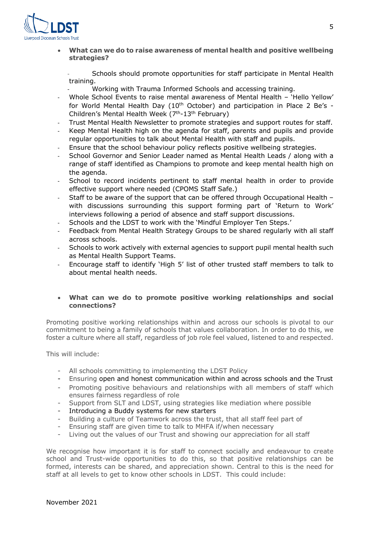

• **What can we do to raise awareness of mental health and positive wellbeing strategies?** 

- Schools should promote opportunities for staff participate in Mental Health training.

- Working with Trauma Informed Schools and accessing training.
- Whole School Events to raise mental awareness of Mental Health 'Hello Yellow' for World Mental Health Day  $(10<sup>th</sup> October)$  and participation in Place 2 Be's -Children's Mental Health Week  $(7<sup>th</sup>-13<sup>th</sup>$  February)
- Trust Mental Health Newsletter to promote strategies and support routes for staff.
- Keep Mental Health high on the agenda for staff, parents and pupils and provide regular opportunities to talk about Mental Health with staff and pupils.
- Ensure that the school behaviour policy reflects positive wellbeing strategies.
- School Governor and Senior Leader named as Mental Health Leads / along with a range of staff identified as Champions to promote and keep mental health high on the agenda.
- School to record incidents pertinent to staff mental health in order to provide effective support where needed (CPOMS Staff Safe.)
- Staff to be aware of the support that can be offered through Occupational Health with discussions surrounding this support forming part of 'Return to Work' interviews following a period of absence and staff support discussions.
- Schools and the LDST to work with the 'Mindful Employer Ten Steps.'
- Feedback from Mental Health Strategy Groups to be shared regularly with all staff across schools.
- Schools to work actively with external agencies to support pupil mental health such as Mental Health Support Teams.
- Encourage staff to identify 'High 5' list of other trusted staff members to talk to about mental health needs.

## • **What can we do to promote positive working relationships and social connections?**

Promoting positive working relationships within and across our schools is pivotal to our commitment to being a family of schools that values collaboration. In order to do this, we foster a culture where all staff, regardless of job role feel valued, listened to and respected.

This will include:

- All schools committing to implementing the LDST Policy
- Ensuring open and honest communication within and across schools and the Trust
- Promoting positive behaviours and relationships with all members of staff which ensures fairness regardless of role
- Support from SLT and LDST, using strategies like mediation where possible
- Introducing a Buddy systems for new starters
- Building a culture of Teamwork across the trust, that all staff feel part of
- Ensuring staff are given time to talk to MHFA if/when necessary
- Living out the values of our Trust and showing our appreciation for all staff

We recognise how important it is for staff to connect socially and endeavour to create school and Trust-wide opportunities to do this, so that positive relationships can be formed, interests can be shared, and appreciation shown. Central to this is the need for staff at all levels to get to know other schools in LDST. This could include: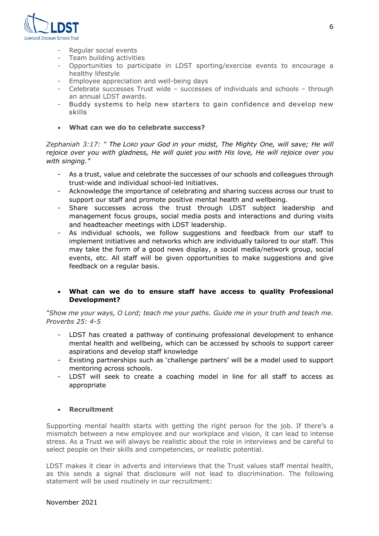

- Regular social events
- Team building activities
- Opportunities to participate in LDST sporting/exercise events to encourage a healthy lifestyle
- Employee appreciation and well-being days<br>- Celebrate successes Trust wide successes
- Celebrate successes Trust wide successes of individuals and schools through an annual LDST awards.
- Buddy systems to help new starters to gain confidence and develop new skills
- **What can we do to celebrate success?**

*Zephaniah 3:17: " The LORD your God in your midst, The Mighty One, will save; He will rejoice over you with gladness, He will quiet you with His love, He will rejoice over you with singing."*

- As a trust, value and celebrate the successes of our schools and colleagues through trust-wide and individual school-led initiatives.
- Acknowledge the importance of celebrating and sharing success across our trust to support our staff and promote positive mental health and wellbeing.
- Share successes across the trust through LDST subject leadership and management focus groups, social media posts and interactions and during visits and headteacher meetings with LDST leadership.
- As individual schools, we follow suggestions and feedback from our staff to implement initiatives and networks which are individually tailored to our staff. This may take the form of a good news display, a social media/network group, social events, etc. All staff will be given opportunities to make suggestions and give feedback on a regular basis.

# • **What can we do to ensure staff have access to quality Professional Development?**

*"Show me your ways, O Lord; teach me your paths. Guide me in your truth and teach me. Proverbs 25: 4-5*

- LDST has created a pathway of continuing professional development to enhance mental health and wellbeing, which can be accessed by schools to support career aspirations and develop staff knowledge
- Existing partnerships such as 'challenge partners' will be a model used to support mentoring across schools.
- LDST will seek to create a coaching model in line for all staff to access as appropriate

# • **Recruitment**

Supporting mental health starts with getting the right person for the job. If there's a mismatch between a new employee and our workplace and vision, it can lead to intense stress. As a Trust we will always be realistic about the role in interviews and be careful to select people on their skills and competencies, or realistic potential.

LDST makes it clear in adverts and interviews that the Trust values staff mental health, as this sends a signal that disclosure will not lead to discrimination. The following statement will be used routinely in our recruitment: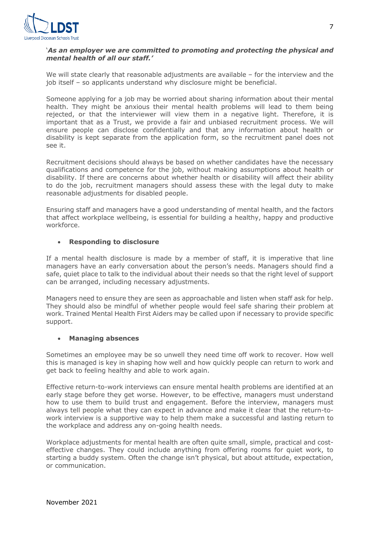

# '*As an employer we are committed to promoting and protecting the physical and mental health of all our staff.'*

We will state clearly that reasonable adjustments are available – for the interview and the job itself – so applicants understand why disclosure might be beneficial.

Someone applying for a job may be worried about sharing information about their mental health. They might be anxious their mental health problems will lead to them being rejected, or that the interviewer will view them in a negative light. Therefore, it is important that as a Trust, we provide a fair and unbiased recruitment process. We will ensure people can disclose confidentially and that any information about health or disability is kept separate from the application form, so the recruitment panel does not see it.

Recruitment decisions should always be based on whether candidates have the necessary qualifications and competence for the job, without making assumptions about health or disability. If there are concerns about whether health or disability will affect their ability to do the job, recruitment managers should assess these with the legal duty to make reasonable adjustments for disabled people.

Ensuring staff and managers have a good understanding of mental health, and the factors that affect workplace wellbeing, is essential for building a healthy, happy and productive workforce.

#### • **Responding to disclosure**

If a mental health disclosure is made by a member of staff, it is imperative that line managers have an early conversation about the person's needs. Managers should find a safe, quiet place to talk to the individual about their needs so that the right level of support can be arranged, including necessary adjustments.

Managers need to ensure they are seen as approachable and listen when staff ask for help. They should also be mindful of whether people would feel safe sharing their problem at work. Trained Mental Health First Aiders may be called upon if necessary to provide specific support.

#### • **Managing absences**

Sometimes an employee may be so unwell they need time off work to recover. How well this is managed is key in shaping how well and how quickly people can return to work and get back to feeling healthy and able to work again.

Effective return-to-work interviews can ensure mental health problems are identified at an early stage before they get worse. However, to be effective, managers must understand how to use them to build trust and engagement. Before the interview, managers must always tell people what they can expect in advance and make it clear that the return-towork interview is a supportive way to help them make a successful and lasting return to the workplace and address any on-going health needs.

Workplace adjustments for mental health are often quite small, simple, practical and costeffective changes. They could include anything from offering rooms for quiet work, to starting a buddy system. Often the change isn't physical, but about attitude, expectation, or communication.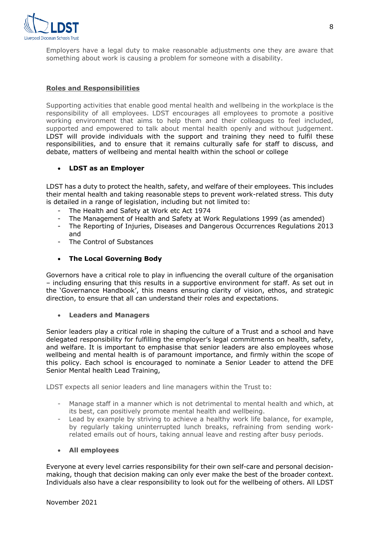

Employers have a legal duty to make reasonable adjustments one they are aware that something about work is causing a problem for someone with a disability.

## **Roles and Responsibilities**

Supporting activities that enable good mental health and wellbeing in the workplace is the responsibility of all employees. LDST encourages all employees to promote a positive working environment that aims to help them and their colleagues to feel included, supported and empowered to talk about mental health openly and without judgement. LDST will provide individuals with the support and training they need to fulfil these responsibilities, and to ensure that it remains culturally safe for staff to discuss, and debate, matters of wellbeing and mental health within the school or college

#### • **LDST as an Employer**

LDST has a duty to protect the health, safety, and welfare of their employees. This includes their mental health and taking reasonable steps to prevent work-related stress. This duty is detailed in a range of legislation, including but not limited to:

- The Health and Safety at Work etc Act 1974
- The Management of Health and Safety at Work Regulations 1999 (as amended)
- The Reporting of Injuries, Diseases and Dangerous Occurrences Regulations 2013 and
- The Control of Substances

## • **The Local Governing Body**

Governors have a critical role to play in influencing the overall culture of the organisation – including ensuring that this results in a supportive environment for staff. As set out in the 'Governance Handbook', this means ensuring clarity of vision, ethos, and strategic direction, to ensure that all can understand their roles and expectations.

#### • **Leaders and Managers**

Senior leaders play a critical role in shaping the culture of a Trust and a school and have delegated responsibility for fulfilling the employer's legal commitments on health, safety, and welfare. It is important to emphasise that senior leaders are also employees whose wellbeing and mental health is of paramount importance, and firmly within the scope of this policy. Each school is encouraged to nominate a Senior Leader to attend the DFE Senior Mental health Lead Training,

LDST expects all senior leaders and line managers within the Trust to:

- Manage staff in a manner which is not detrimental to mental health and which, at its best, can positively promote mental health and wellbeing.
- Lead by example by striving to achieve a healthy work life balance, for example, by regularly taking uninterrupted lunch breaks, refraining from sending workrelated emails out of hours, taking annual leave and resting after busy periods.

#### • **All employees**

Everyone at every level carries responsibility for their own self-care and personal decisionmaking, though that decision making can only ever make the best of the broader context. Individuals also have a clear responsibility to look out for the wellbeing of others. All LDST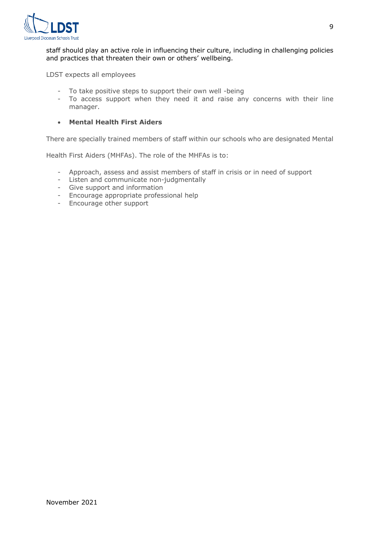

staff should play an active role in influencing their culture, including in challenging policies and practices that threaten their own or others' wellbeing.

LDST expects all employees

- To take positive steps to support their own well -being
- To access support when they need it and raise any concerns with their line manager.

# • **Mental Health First Aiders**

There are specially trained members of staff within our schools who are designated Mental

Health First Aiders (MHFAs). The role of the MHFAs is to:

- Approach, assess and assist members of staff in crisis or in need of support
- Listen and communicate non-judgmentally
- Give support and information
- Encourage appropriate professional help
- Encourage other support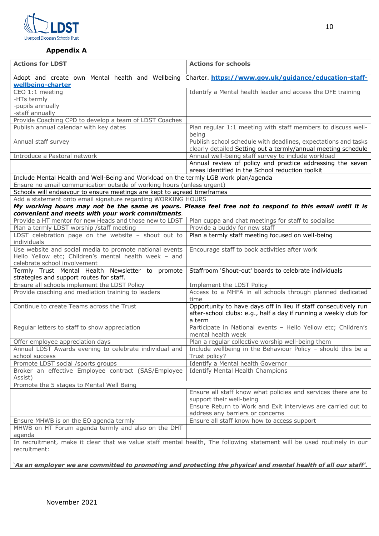

# **Appendix A**

| <b>Actions for LDST</b>                                                                                                                | <b>Actions for schools</b>                                                                                                                     |  |  |
|----------------------------------------------------------------------------------------------------------------------------------------|------------------------------------------------------------------------------------------------------------------------------------------------|--|--|
| Adopt and create own Mental health and Wellbeing Charter. https://www.gov.uk/guidance/education-staff-<br>wellbeing-charter            |                                                                                                                                                |  |  |
| CEO 1:1 meeting                                                                                                                        | Identify a Mental health leader and access the DFE training                                                                                    |  |  |
| -HTs termly                                                                                                                            |                                                                                                                                                |  |  |
| -pupils annually                                                                                                                       |                                                                                                                                                |  |  |
| -staff annually                                                                                                                        |                                                                                                                                                |  |  |
| Provide Coaching CPD to develop a team of LDST Coaches                                                                                 |                                                                                                                                                |  |  |
| Publish annual calendar with key dates                                                                                                 | Plan regular 1:1 meeting with staff members to discuss well-<br>being                                                                          |  |  |
| Annual staff survey                                                                                                                    | Publish school schedule with deadlines, expectations and tasks<br>clearly detailed Setting out a termly/annual meeting schedule                |  |  |
| Introduce a Pastoral network                                                                                                           | Annual well-being staff survey to include workload                                                                                             |  |  |
|                                                                                                                                        | Annual review of policy and practice addressing the seven<br>areas identified in the School reduction toolkit                                  |  |  |
| Include Mental Health and Well-Being and Workload on the termly LGB work plan/agenda                                                   |                                                                                                                                                |  |  |
| Ensure no email communication outside of working hours (unless urgent)                                                                 |                                                                                                                                                |  |  |
| Schools will endeavour to ensure meetings are kept to agreed timeframes                                                                |                                                                                                                                                |  |  |
| Add a statement onto email signature regarding WORKING HOURS                                                                           |                                                                                                                                                |  |  |
|                                                                                                                                        | My working hours may not be the same as yours. Please feel free not to respond to this email until it is                                       |  |  |
| convenient and meets with your work commitments.                                                                                       |                                                                                                                                                |  |  |
| Provide a HT mentor for new Heads and those new to LDST                                                                                | Plan cuppa and chat meetings for staff to socialise                                                                                            |  |  |
| Plan a termly LDST worship / staff meeting                                                                                             | Provide a buddy for new staff                                                                                                                  |  |  |
| LDST celebration page on the website $-$ shout out to<br>individuals                                                                   | Plan a termly staff meeting focused on well-being                                                                                              |  |  |
| Use website and social media to promote national events                                                                                | Encourage staff to book activities after work                                                                                                  |  |  |
| Hello Yellow etc; Children's mental health week - and                                                                                  |                                                                                                                                                |  |  |
| celebrate school involvement                                                                                                           |                                                                                                                                                |  |  |
| Termly Trust Mental Health Newsletter to promote<br>strategies and support routes for staff.                                           | Staffroom 'Shout-out' boards to celebrate individuals                                                                                          |  |  |
| Ensure all schools implement the LDST Policy                                                                                           | Implement the LDST Policy                                                                                                                      |  |  |
| Provide coaching and mediation training to leaders                                                                                     | Access to a MHFA in all schools through planned dedicated<br>time                                                                              |  |  |
| Continue to create Teams across the Trust                                                                                              | Opportunity to have days off in lieu if staff consecutively run<br>after-school clubs: e.g., half a day if running a weekly club for<br>a term |  |  |
| Regular letters to staff to show appreciation                                                                                          | Participate in National events - Hello Yellow etc; Children's<br>mental health week                                                            |  |  |
| Offer employee appreciation days                                                                                                       | Plan a regular collective worship well-being them                                                                                              |  |  |
| Annual LDST Awards evening to celebrate individual and                                                                                 | Include wellbeing in the Behaviour Policy - should this be a                                                                                   |  |  |
| school success                                                                                                                         | Trust policy?                                                                                                                                  |  |  |
| Promote LDST social /sports groups                                                                                                     | Identify a Mental health Governor                                                                                                              |  |  |
| Broker an effective Employee contract (SAS/Employee<br>Assist)                                                                         | <b>Identify Mental Health Champions</b>                                                                                                        |  |  |
| Promote the 5 stages to Mental Well Being                                                                                              |                                                                                                                                                |  |  |
|                                                                                                                                        | Ensure all staff know what policies and services there are to<br>support their well-being                                                      |  |  |
|                                                                                                                                        | Ensure Return to Work and Exit interviews are carried out to<br>address any barriers or concerns                                               |  |  |
| Ensure MHWB is on the EO agenda termly                                                                                                 | Ensure all staff know how to access support                                                                                                    |  |  |
| MHWB on HT Forum agenda termly and also on the DHT<br>agenda                                                                           |                                                                                                                                                |  |  |
| In recruitment, make it clear that we value staff mental health, The following statement will be used routinely in our<br>recruitment: |                                                                                                                                                |  |  |

'*As an employer we are committed to promoting and protecting the physical and mental health of all our staff'.*